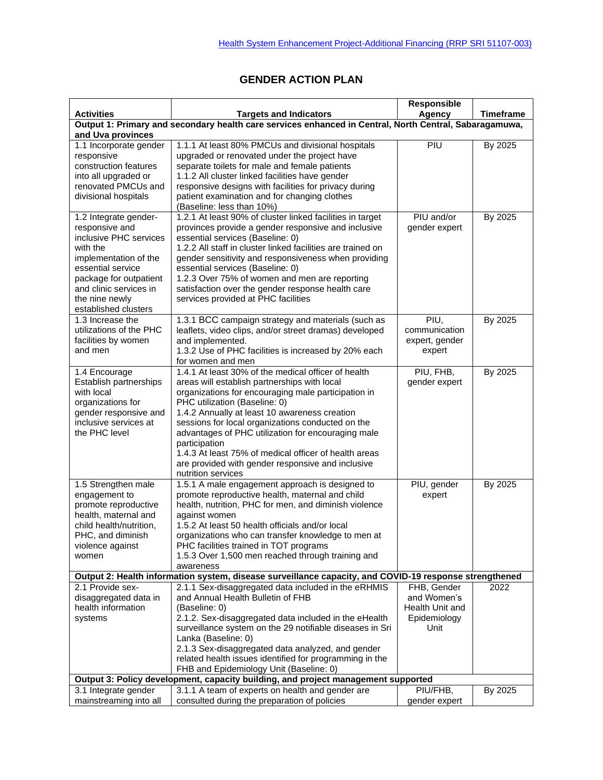## **GENDER ACTION PLAN**

|                                                                                                                                                                                                                           |                                                                                                                                                                                                                                                                                                                                                                                                                                                                                                              | Responsible                                                           |                  |  |  |
|---------------------------------------------------------------------------------------------------------------------------------------------------------------------------------------------------------------------------|--------------------------------------------------------------------------------------------------------------------------------------------------------------------------------------------------------------------------------------------------------------------------------------------------------------------------------------------------------------------------------------------------------------------------------------------------------------------------------------------------------------|-----------------------------------------------------------------------|------------------|--|--|
| <b>Activities</b>                                                                                                                                                                                                         | <b>Targets and Indicators</b>                                                                                                                                                                                                                                                                                                                                                                                                                                                                                | Agency                                                                | <b>Timeframe</b> |  |  |
| Output 1: Primary and secondary health care services enhanced in Central, North Central, Sabaragamuwa,<br>and Uva provinces                                                                                               |                                                                                                                                                                                                                                                                                                                                                                                                                                                                                                              |                                                                       |                  |  |  |
| 1.1 Incorporate gender<br>responsive<br>construction features<br>into all upgraded or<br>renovated PMCUs and<br>divisional hospitals                                                                                      | 1.1.1 At least 80% PMCUs and divisional hospitals<br>upgraded or renovated under the project have<br>separate toilets for male and female patients<br>1.1.2 All cluster linked facilities have gender<br>responsive designs with facilities for privacy during<br>patient examination and for changing clothes<br>(Baseline: less than 10%)                                                                                                                                                                  | PIU                                                                   | By 2025          |  |  |
| 1.2 Integrate gender-<br>responsive and<br>inclusive PHC services<br>with the<br>implementation of the<br>essential service<br>package for outpatient<br>and clinic services in<br>the nine newly<br>established clusters | 1.2.1 At least 90% of cluster linked facilities in target<br>provinces provide a gender responsive and inclusive<br>essential services (Baseline: 0)<br>1.2.2 All staff in cluster linked facilities are trained on<br>gender sensitivity and responsiveness when providing<br>essential services (Baseline: 0)<br>1.2.3 Over 75% of women and men are reporting<br>satisfaction over the gender response health care<br>services provided at PHC facilities                                                 | PIU and/or<br>gender expert                                           | By 2025          |  |  |
| 1.3 Increase the<br>utilizations of the PHC<br>facilities by women<br>and men                                                                                                                                             | 1.3.1 BCC campaign strategy and materials (such as<br>leaflets, video clips, and/or street dramas) developed<br>and implemented.<br>1.3.2 Use of PHC facilities is increased by 20% each<br>for women and men                                                                                                                                                                                                                                                                                                | PIU,<br>communication<br>expert, gender<br>expert                     | By 2025          |  |  |
| 1.4 Encourage<br>Establish partnerships<br>with local<br>organizations for<br>gender responsive and<br>inclusive services at<br>the PHC level                                                                             | 1.4.1 At least 30% of the medical officer of health<br>areas will establish partnerships with local<br>organizations for encouraging male participation in<br>PHC utilization (Baseline: 0)<br>1.4.2 Annually at least 10 awareness creation<br>sessions for local organizations conducted on the<br>advantages of PHC utilization for encouraging male<br>participation<br>1.4.3 At least 75% of medical officer of health areas<br>are provided with gender responsive and inclusive<br>nutrition services | PIU, FHB,<br>gender expert                                            | By 2025          |  |  |
| 1.5 Strengthen male<br>engagement to<br>promote reproductive<br>health, maternal and<br>child health/nutrition,<br>PHC, and diminish<br>violence against<br>women                                                         | 1.5.1 A male engagement approach is designed to<br>promote reproductive health, maternal and child<br>health, nutrition, PHC for men, and diminish violence<br>against women<br>1.5.2 At least 50 health officials and/or local<br>organizations who can transfer knowledge to men at<br>PHC facilities trained in TOT programs<br>1.5.3 Over 1,500 men reached through training and<br>awareness                                                                                                            | PIU, gender<br>expert                                                 | By 2025          |  |  |
|                                                                                                                                                                                                                           | Output 2: Health information system, disease surveillance capacity, and COVID-19 response strengthened                                                                                                                                                                                                                                                                                                                                                                                                       |                                                                       |                  |  |  |
| 2.1 Provide sex-<br>disaggregated data in<br>health information<br>systems                                                                                                                                                | 2.1.1 Sex-disaggregated data included in the eRHMIS<br>and Annual Health Bulletin of FHB<br>(Baseline: 0)<br>2.1.2. Sex-disaggregated data included in the eHealth<br>surveillance system on the 29 notifiable diseases in Sri<br>Lanka (Baseline: 0)<br>2.1.3 Sex-disaggregated data analyzed, and gender<br>related health issues identified for programming in the<br>FHB and Epidemiology Unit (Baseline: 0)                                                                                             | FHB, Gender<br>and Women's<br>Health Unit and<br>Epidemiology<br>Unit | 2022             |  |  |
|                                                                                                                                                                                                                           | Output 3: Policy development, capacity building, and project management supported                                                                                                                                                                                                                                                                                                                                                                                                                            |                                                                       |                  |  |  |
| 3.1 Integrate gender<br>mainstreaming into all                                                                                                                                                                            | 3.1.1 A team of experts on health and gender are<br>consulted during the preparation of policies                                                                                                                                                                                                                                                                                                                                                                                                             | PIU/FHB,<br>gender expert                                             | By 2025          |  |  |